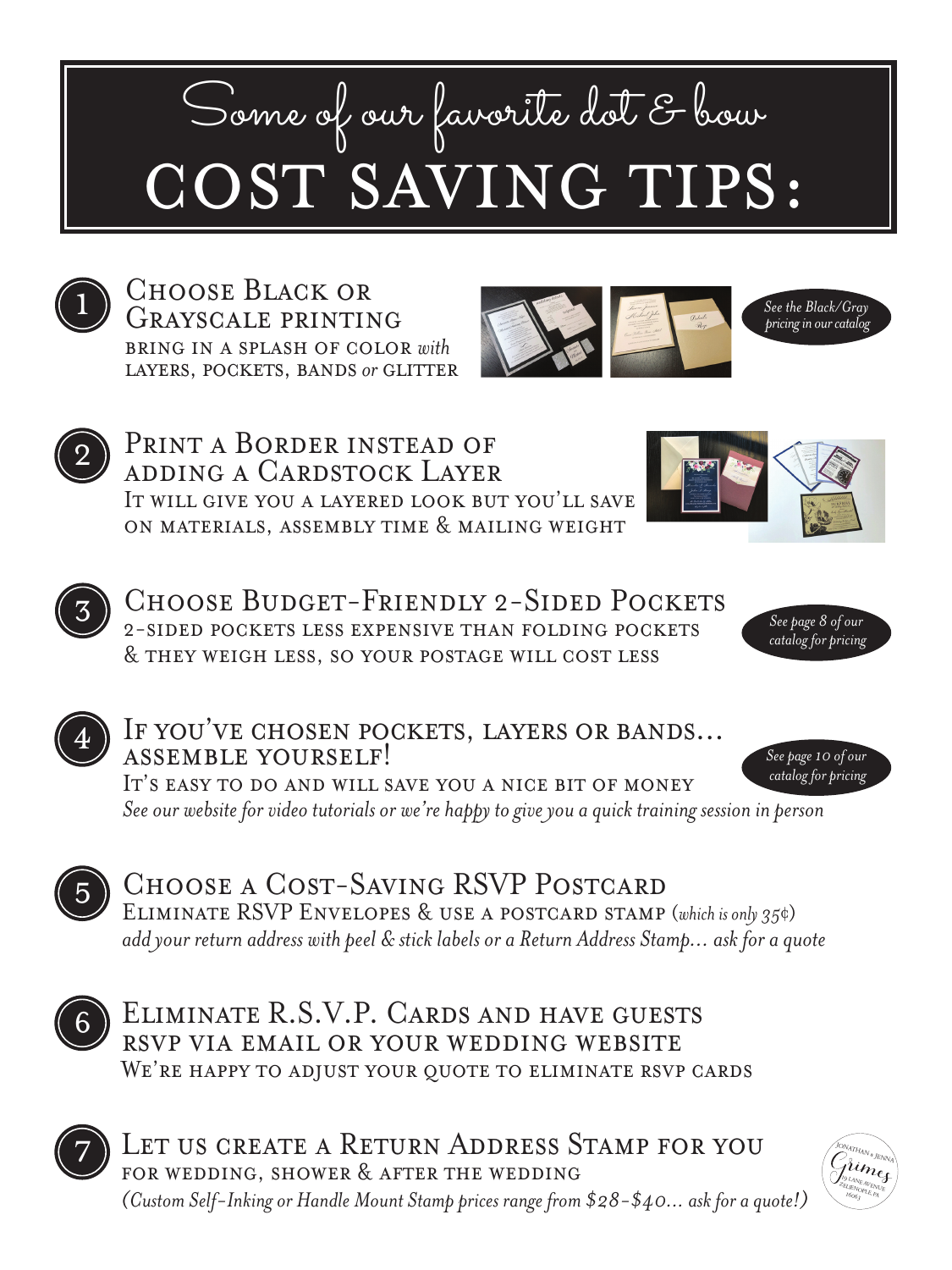## Some of our favorite dot & bour COST SAVING TIPS:



Choose Black or Grayscale printing bring in a splash of color *with* layers, pockets, bands *or* glitter





PRINT A BORDER INSTEAD OF adding a Cardstock Layer It will give you a layered look but you'll save on materials, assembly time & mailing weight





Choose Budget-Friendly 2-Sided Pockets 2-sided pockets less expensive than folding pockets & they weigh less, so your postage will cost less



*See page 10 of our* 



## If you've chosen pockets, layers or bands... ASSEMBLE YOURSELF! IT'S EASY TO DO AND WILL SAVE YOU A NICE BIT OF MONEY

*See our website for video tutorials or we're happy to give you a quick training session in person catalog for pricing*



Choose a Cost-Saving RSVP Postcard ELIMINATE RSVP ENVELOPES & USE A POSTCARD STAMP (*which is only 35*¢) *add your return address with peel & stick labels or a Return Address Stamp... ask for a quote*



Eliminate R.S.V.P. Cards and have guests rsvp via email or your wedding website WE'RE HAPPY TO ADJUST YOUR QUOTE TO ELIMINATE RSVP CARDS



7) LET US CREATE A RETURN ADDRESS STAMP FOR YOU for wedding, shower & after the wedding *(Custom Self-Inking or Handle Mount Stamp prices range from \$28-\$40... ask for a quote!)*